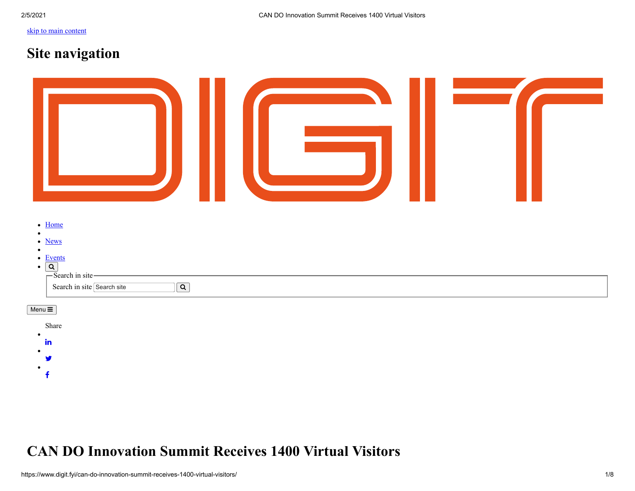# [skip to main content](#page-0-0)

 $\ddot{\mathbf{f}}$ 

<span id="page-0-0"></span> $\bullet$ 

# **Site navigation**

| $\bullet$ Home<br>$\bullet$<br>• News<br>$\bullet$<br>$\bullet$ Events<br>$\overrightarrow{Q}$<br>$\overrightarrow{Q}$<br>$\overrightarrow{S}$ Search in site |  |
|---------------------------------------------------------------------------------------------------------------------------------------------------------------|--|
| Search in site Search site<br>$\boxed{\mathsf{Q}}$                                                                                                            |  |
| Menu $\equiv$                                                                                                                                                 |  |
| Share<br>$\bullet$                                                                                                                                            |  |
| in                                                                                                                                                            |  |
| У                                                                                                                                                             |  |

# **CAN DO Innovation Summit Receives 1400 Virtual Visitors**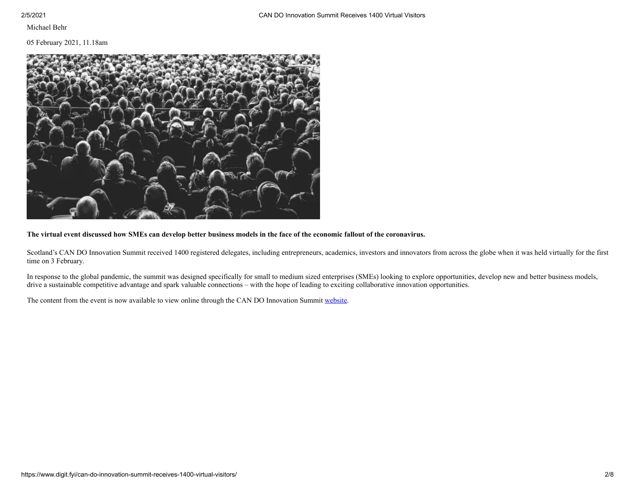Michael Behr

## 05 February 2021, 11.18am



## **The virtual event discussed how SMEs can develop better business models in the face of the economic fallout of the coronavirus.**

Scotland's CAN DO Innovation Summit received 1400 registered delegates, including entrepreneurs, academics, investors and innovators from across the globe when it was held virtually for the first time on 3 February.

In response to the global pandemic, the summit was designed specifically for small to medium sized enterprises (SMEs) looking to explore opportunities, develop new and better business models, drive a sustainable competitive advantage and spark valuable connections – with the hope of leading to exciting collaborative innovation opportunities.

The content from the event is now available to view online through the CAN DO Innovation Summit [website.](http://www.candoinnovation.scot/)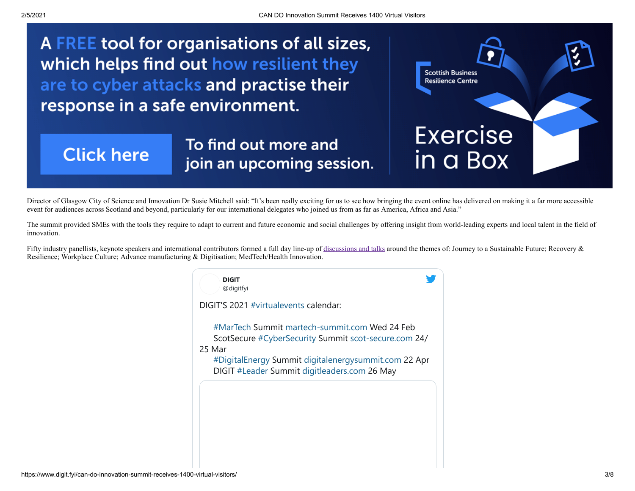A FREE tool for organisations of all sizes, which helps find out how resilient they are to cyber attacks and practise their response in a safe environment.

# **Click here**

To find out more and join an upcoming session.



Director of Glasgow City of Science and Innovation Dr Susie Mitchell said: "It's been really exciting for us to see how bringing the event online has delivered on making it a far more accessible event for audiences across Scotland and beyond, particularly for our international delegates who joined us from as far as America, Africa and Asia."

The summit provided SMEs with the tools they require to adapt to current and future economic and social challenges by offering insight from world-leading experts and local talent in the field of innovation.

Fifty industry panellists, keynote speakers and international contributors formed a full day line-up of [discussions and talks](https://digit.fyi/cando-innovation-summit-resilience-sustainability-and-inclusivity/) around the themes of: Journey to a Sustainable Future; Recovery & Resilience; Workplace Culture; Advance manufacturing & Digitisation; MedTech/Health Innovation.

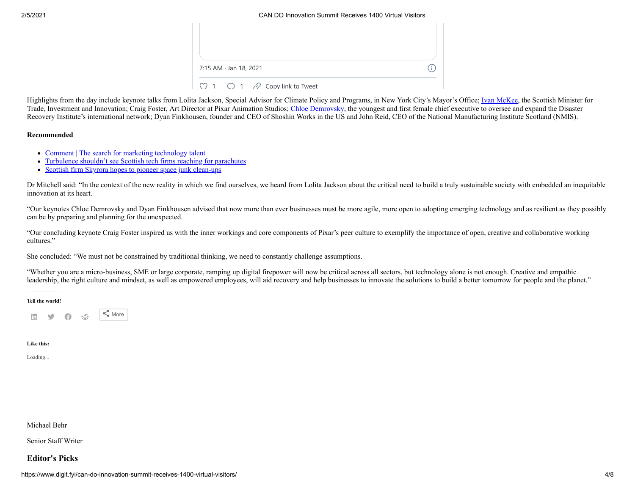#### 2/5/2021 CAN DO Innovation Summit Receives 1400 Virtual Visitors

| 7:15 AM · Jan 18, 2021                                        |  |
|---------------------------------------------------------------|--|
| $\heartsuit$ 1 $\heartsuit$ 1 $\heartsuit$ Copy link to Tweet |  |

Highlights from the day include keynote talks from Lolita Jackson, Special Advisor for Climate Policy and Programs, in New York City's Mayor's Office; [Ivan McKee,](https://digit.fyi/ivan-mckee-scotland-can-build-on-its-history-of-innovation/) the Scottish Minister for Trade, Investment and Innovation; Craig Foster, Art Director at Pixar Animation Studios; [Chloe Demrovsky](https://digit.fyi/can-do-innovation-summit-evolving-your-business-for-future-threats/), the youngest and first female chief executive to oversee and expand the Disaster Recovery Institute's international network; Dyan Finkhousen, founder and CEO of Shoshin Works in the US and John Reid, CEO of the National Manufacturing Institute Scotland (NMIS).

### **Recommended**

- [Comment | The search for marketing technology talent](https://digit.fyi/martech-the-search-for-marketing-technology-talent/)
- [Turbulence shouldn't see Scottish tech firms reaching for parachutes](https://digit.fyi/scottish-tech-firms-turbulence-reaching-for-parachutes/)
- [Scottish firm Skyrora hopes to pioneer space junk clean-ups](https://digit.fyi/skyrora-scottish-space-firm-hopes-to-trailblaze-space-junk-clean-ups/)  $\bullet$

Dr Mitchell said: "In the context of the new reality in which we find ourselves, we heard from Lolita Jackson about the critical need to build a truly sustainable society with embedded an inequitable innovation at its heart.

"Our keynotes Chloe Demrovsky and Dyan Finkhousen advised that now more than ever businesses must be more agile, more open to adopting emerging technology and as resilient as they possibly can be by preparing and planning for the unexpected.

"Our concluding keynote Craig Foster inspired us with the inner workings and core components of Pixar's peer culture to exemplify the importance of open, creative and collaborative working cultures."

She concluded: "We must not be constrained by traditional thinking, we need to constantly challenge assumptions.

"Whether you are a micro-business, SME or large corporate, ramping up digital firepower will now be critical across all sectors, but technology alone is not enough. Creative and empathic leadership, the right culture and mindset, as well as empowered employees, will aid recovery and help businesses to innovate the solutions to build a better tomorrow for people and the planet."

#### **Tell the world!**



#### **Like this:**

Loading...

## Michael Behr

Senior Staff Writer

# **Editor's Picks**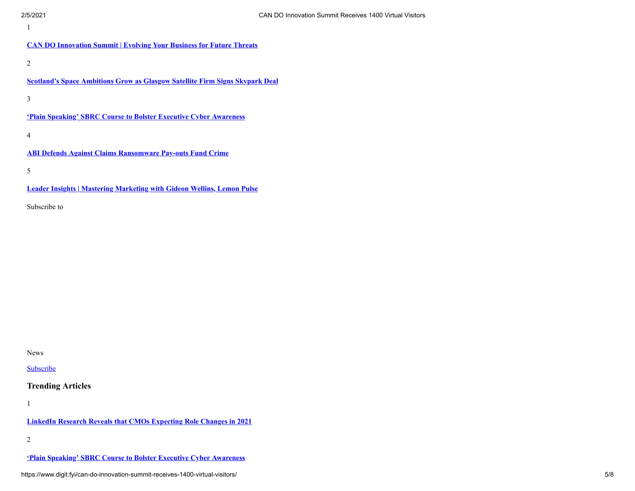**[CAN DO Innovation Summit | Evolving Your Business for Future Threats](https://www.digit.fyi/can-do-innovation-summit-evolving-your-business-for-future-threats/)**

2

**[Scotland's Space Ambitions Grow as Glasgow Satellite Firm Signs Skypark Deal](https://www.digit.fyi/scotlands-space-ambitions-grow-as-glasgow-satellite-firm-signs-skypark-deal/)**

3

**['Plain Speaking' SBRC Course to Bolster Executive Cyber Awareness](https://www.digit.fyi/sbrc-course-to-bolster-executive-cybersecurity-awareness/)**

4

**[ABI Defends Against Claims Ransomware Pay-outs Fund Crime](https://www.digit.fyi/abi-defends-against-claims-ransomware-pay-outs-fund-crime/)**

5

**[Leader Insights | Mastering Marketing with Gideon Wellins, Lemon Pulse](https://www.digit.fyi/leader-insights-mastering-marketing-with-gideon-wellins-lemon-pulse/)**

Subscribe to

News

**[Subscribe](https://www.digit.fyi/subscribe/)** 

# **Trending Articles**

1

**[LinkedIn Research Reveals that CMOs Expecting Role Changes in 2021](https://www.digit.fyi/linkedin-research-reveals-that-cmos-expecting-role-changes-in-2021/)**

2

**['Plain Speaking' SBRC Course to Bolster Executive Cyber Awareness](https://www.digit.fyi/sbrc-course-to-bolster-executive-cybersecurity-awareness/)**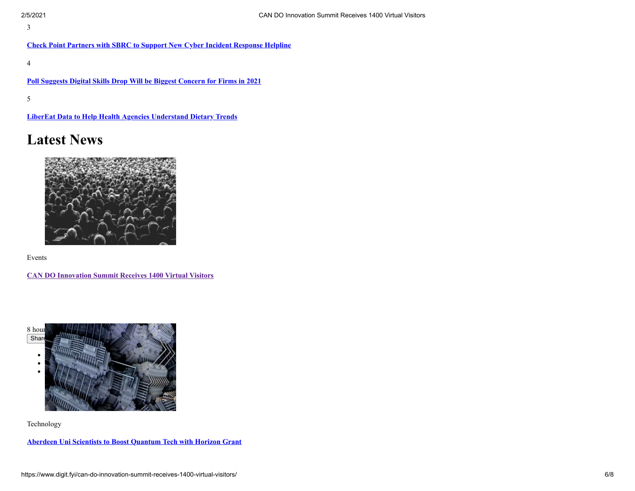3

**[Check Point Partners with SBRC to Support New Cyber Incident Response Helpline](https://www.digit.fyi/check-point-partners-with-sbrc-to-support-new-cyber-incident-response-helpline/)**

4

**[Poll Suggests Digital Skills Drop Will be Biggest Concern for Firms in 2021](https://www.digit.fyi/poll-suggests-digital-skills-drop-will-be-biggest-concern-for-firms-in-2021/)**

5

**[LiberEat Data to Help Health Agencies Understand Dietary Trends](https://www.digit.fyi/libereat-data-to-help-health-agencies-understand-dietary-trends/)**

# **Latest News**



Events

**[CAN DO Innovation Summit Receives 1400 Virtual Visitors](https://www.digit.fyi/can-do-innovation-summit-receives-1400-virtual-visitors/)**



Technology

**[Aberdeen Uni Scientists to Boost Quantum Tech with Horizon Grant](https://www.digit.fyi/aberdeen-uni-scientists-to-boost-quantum-tech-with-horizon-grant/)**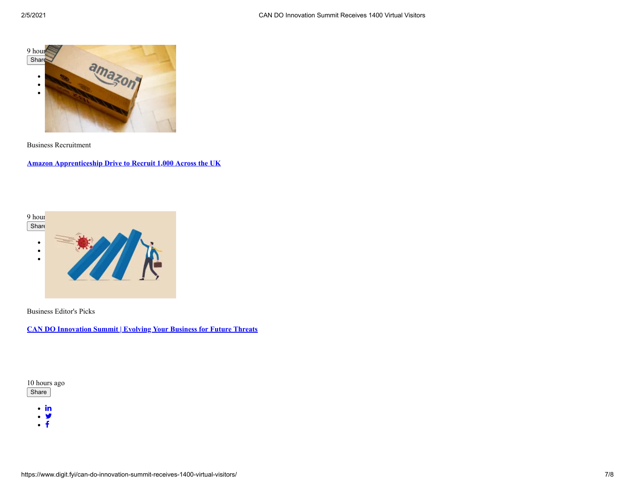

Business Recruitment

**[Amazon Apprenticeship Drive to Recruit 1,000 Across the UK](https://www.digit.fyi/amazon-apprenticeship-drive-to-recruit-across-the-uk/)**



Business Editor's Picks

**[CAN DO Innovation Summit | Evolving Your Business for Future Threats](https://www.digit.fyi/can-do-innovation-summit-evolving-your-business-for-future-threats/)** 



 $\cdot$  in

- . y
- $\cdot$   $\overline{f}$